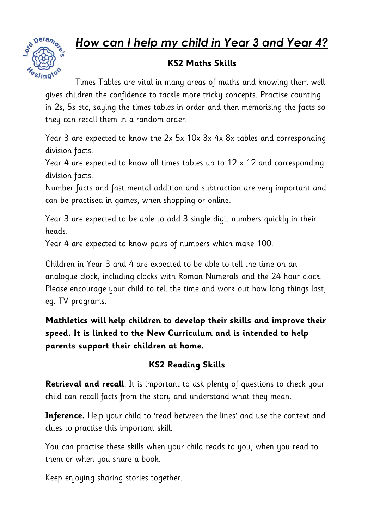## *How can I help my child in Year 3 and Year 4?*



## **KS2 Maths Skills**

Times Tables are vital in many areas of maths and knowing them well gives children the confidence to tackle more tricky concepts. Practise counting in 2s, 5s etc, saying the times tables in order and then memorising the facts so they can recall them in a random order.

Year 3 are expected to know the 2x 5x 10x 3x 4x 8x tables and corresponding division facts.

Year 4 are expected to know all times tables up to 12 x 12 and corresponding division facts.

Number facts and fast mental addition and subtraction are very important and can be practised in games, when shopping or online.

Year 3 are expected to be able to add 3 single digit numbers quickly in their heads.

Year 4 are expected to know pairs of numbers which make 100.

Children in Year 3 and 4 are expected to be able to tell the time on an analogue clock, including clocks with Roman Numerals and the 24 hour clock. Please encourage your child to tell the time and work out how long things last, eg. TV programs.

**Mathletics will help children to develop their skills and improve their speed. It is linked to the New Curriculum and is intended to help parents support their children at home.**

## **KS2 Reading Skills**

**Retrieval and recall**. It is important to ask plenty of questions to check your child can recall facts from the story and understand what they mean.

**Inference.** Help your child to 'read between the lines' and use the context and clues to practise this important skill.

You can practise these skills when your child reads to you, when you read to them or when you share a book.

Keep enjoying sharing stories together.